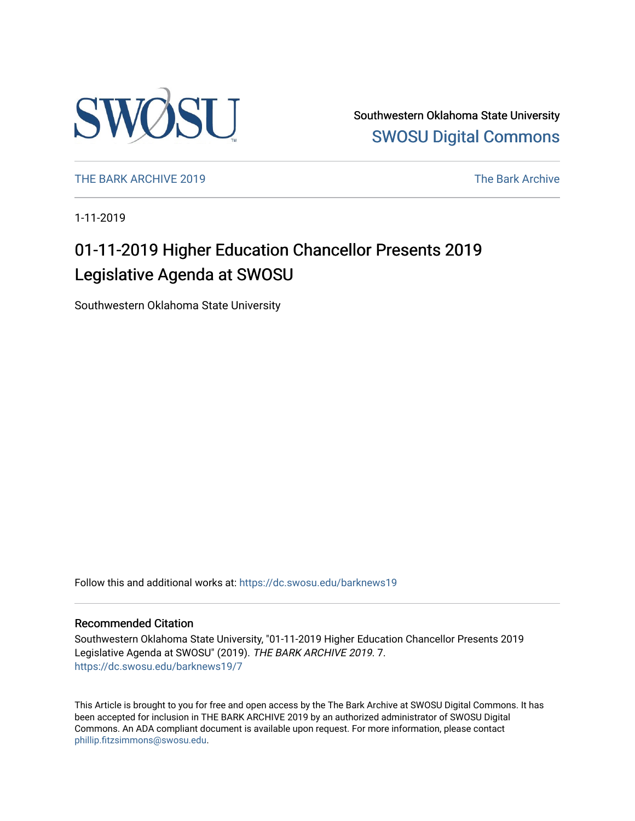

Southwestern Oklahoma State University [SWOSU Digital Commons](https://dc.swosu.edu/) 

[THE BARK ARCHIVE 2019](https://dc.swosu.edu/barknews19) The Bark Archive

1-11-2019

# 01-11-2019 Higher Education Chancellor Presents 2019 Legislative Agenda at SWOSU

Southwestern Oklahoma State University

Follow this and additional works at: [https://dc.swosu.edu/barknews19](https://dc.swosu.edu/barknews19?utm_source=dc.swosu.edu%2Fbarknews19%2F7&utm_medium=PDF&utm_campaign=PDFCoverPages)

#### Recommended Citation

Southwestern Oklahoma State University, "01-11-2019 Higher Education Chancellor Presents 2019 Legislative Agenda at SWOSU" (2019). THE BARK ARCHIVE 2019. 7. [https://dc.swosu.edu/barknews19/7](https://dc.swosu.edu/barknews19/7?utm_source=dc.swosu.edu%2Fbarknews19%2F7&utm_medium=PDF&utm_campaign=PDFCoverPages) 

This Article is brought to you for free and open access by the The Bark Archive at SWOSU Digital Commons. It has been accepted for inclusion in THE BARK ARCHIVE 2019 by an authorized administrator of SWOSU Digital Commons. An ADA compliant document is available upon request. For more information, please contact [phillip.fitzsimmons@swosu.edu](mailto:phillip.fitzsimmons@swosu.edu).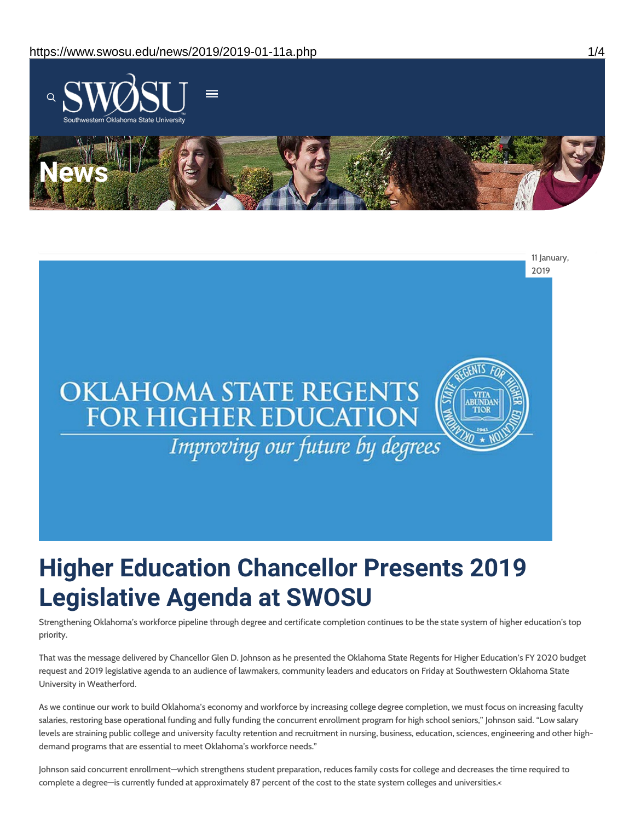



# **Higher Education Chancellor Presents 2019 Legislative Agenda at SWOSU**

Strengthening Oklahoma's workforce pipeline through degree and certificate completion continues to be the state system of higher education's top priority.

That was the message delivered by Chancellor Glen D. Johnson as he presented the Oklahoma State Regents for Higher Education's FY 2020 budget request and 2019 legislative agenda to an audience of lawmakers, community leaders and educators on Friday at Southwestern Oklahoma State University in Weatherford.

As we continue our work to build Oklahoma's economy and workforce by increasing college degree completion, we must focus on increasing faculty salaries, restoring base operational funding and fully funding the concurrent enrollment program for high school seniors," Johnson said. "Low salary levels are straining public college and university faculty retention and recruitment in nursing, business, education, sciences, engineering and other highdemand programs that are essential to meet Oklahoma's workforce needs."

Johnson said concurrent enrollment—which strengthens student preparation, reduces family costs for college and decreases the time required to complete a degree—is currently funded at approximately 87 percent of the cost to the state system colleges and universities.<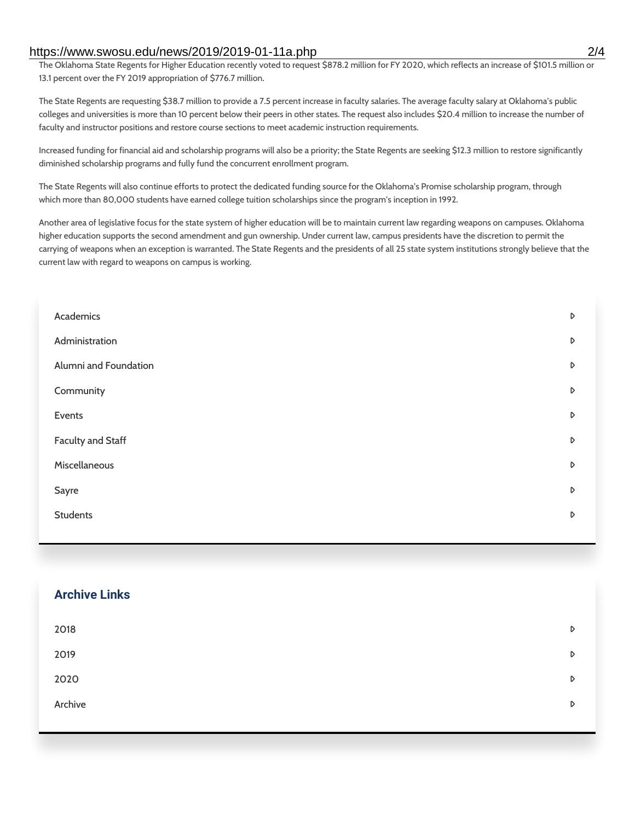#### https://www.swosu.edu/news/2019/2019-01-11a.php 2/4

The Oklahoma State Regents for Higher Education recently voted to request \$878.2 million for FY 2020, which reflects an increase of \$101.5 million or 13.1 percent over the FY 2019 appropriation of \$776.7 million.

The State Regents are requesting \$38.7 million to provide a 7.5 percent increase in faculty salaries. The average faculty salary at Oklahoma's public colleges and universities is more than 10 percent below their peers in other states. The request also includes \$20.4 million to increase the number of faculty and instructor positions and restore course sections to meet academic instruction requirements.

Increased funding for financial aid and scholarship programs will also be a priority; the State Regents are seeking \$12.3 million to restore significantly diminished scholarship programs and fully fund the concurrent enrollment program.

The State Regents will also continue efforts to protect the dedicated funding source for the Oklahoma's Promise scholarship program, through which more than 80,000 students have earned college tuition scholarships since the program's inception in 1992.

Another area of legislative focus for the state system of higher education will be to maintain current law regarding weapons on campuses. Oklahoma higher education supports the second amendment and gun ownership. Under current law, campus presidents have the discretion to permit the carrying of weapons when an exception is warranted. The State Regents and the presidents of all 25 state system institutions strongly believe that the current law with regard to weapons on campus is working.

| Academics                | D |
|--------------------------|---|
| Administration           | D |
| Alumni and Foundation    | D |
| Community                | D |
| Events                   | D |
| <b>Faculty and Staff</b> | D |
| Miscellaneous            | D |
| Sayre                    | D |
| <b>Students</b>          | D |
|                          |   |

#### **Archive Links**

| 2018    | $\triangleright$ |
|---------|------------------|
| 2019    | $\triangleright$ |
| 2020    | D                |
| Archive | D                |
|         |                  |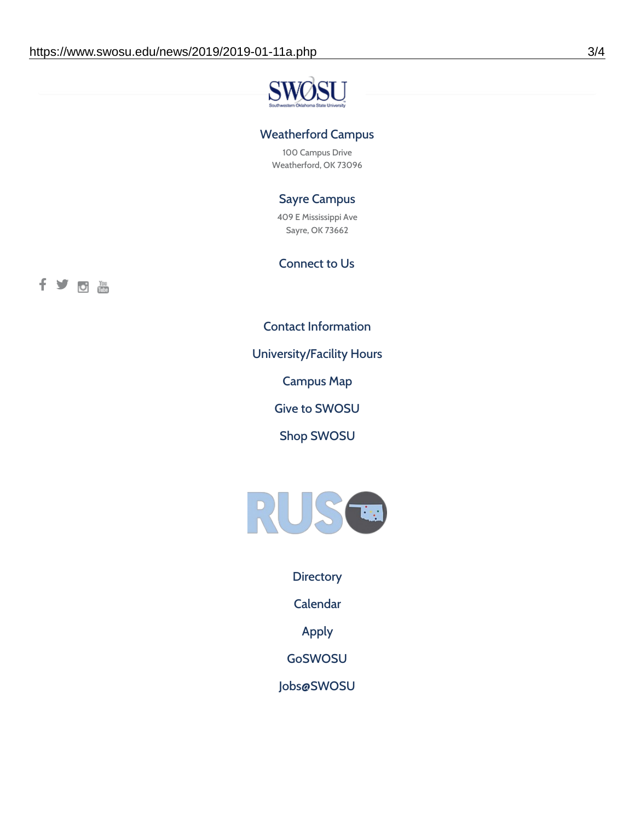

### Weatherford Campus

100 Campus Drive Weatherford, OK 73096

## Sayre Campus

409 E Mississippi Ave Sayre, OK 73662

#### Connect to Us

fyoth

Contact [Information](https://www.swosu.edu/about/contact.php)

[University/Facility](https://www.swosu.edu/about/operating-hours.php) Hours

[Campus](https://map.concept3d.com/?id=768#!ct/10964,10214,10213,10212,10205,10204,10203,10202,10136,10129,10128,0,31226,10130,10201,10641,0) Map

Give to [SWOSU](https://standingfirmly.com/donate)

Shop [SWOSU](https://shopswosu.merchorders.com/)



**[Directory](https://www.swosu.edu/directory/index.php)** 

[Calendar](https://eventpublisher.dudesolutions.com/swosu/)

[Apply](https://www.swosu.edu/admissions/apply-to-swosu.php)

[GoSWOSU](https://qlsso.quicklaunchsso.com/home/1267)

[Jobs@SWOSU](https://swosu.csod.com/ux/ats/careersite/1/home?c=swosu)